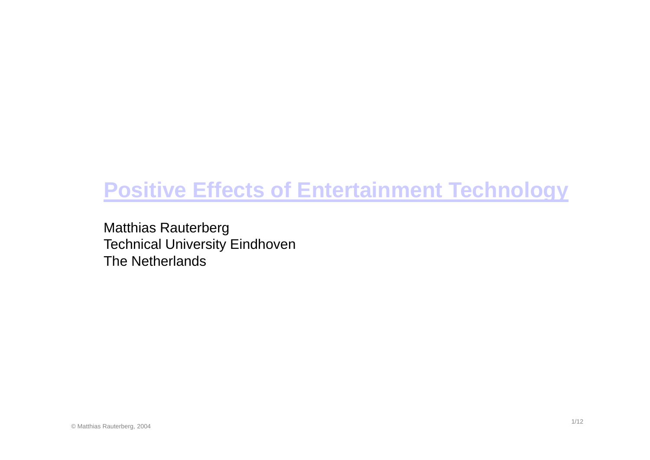# **Positive Effects of Entertainment Technology**

Matthias Rauterberg Technical University Eindhoven The Netherlands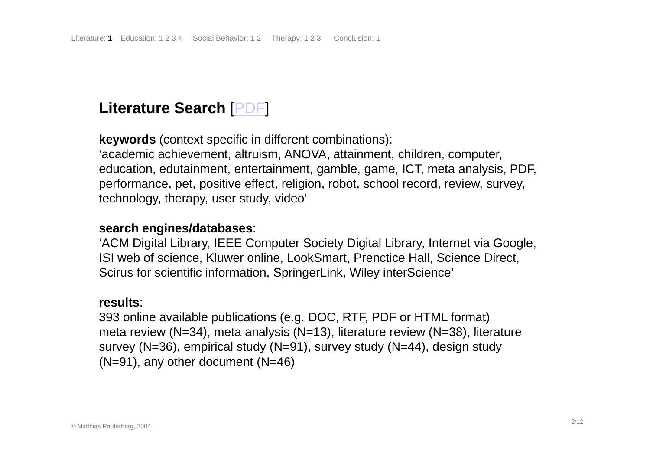### **Literature Search** [PDF]

**keywords** (context specific in different combinations): 'academic achievement, altruism, ANOVA, attainment, children, computer, education, edutainment, entertainment, gamble, game, ICT, meta analysis, PDF, performance, pet, positive effect, religion, robot, school record, review, survey, technology, therapy, user study, video'

#### **search engines/databases engines/databases**:

'ACM Digital Library, IEEE Computer Society Digital Library, Internet via Google, ISI web of science, Kluwer online, LookSmart, Prenctice Hall, Science Direct, Scirus for scientific information, SpringerLink, Wiley interScience'

#### **results**:

393 online available publications (e.g. DOC, RTF, PDF or HTML format) meta review (N-34), meta analysis (N-13), literature review (N-38), literature survey (N=36), empirical study (N=91), survey study (N=44), design study  $(N=91)$ , any other document  $(N=46)$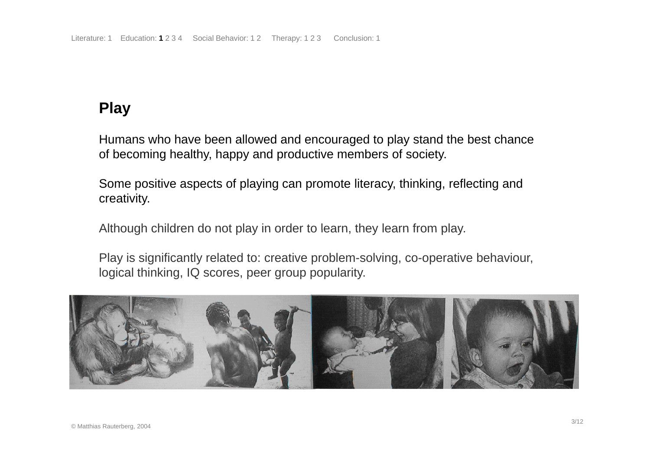## **Play**

Humans who have been allowed and encouraged to play stand the best chance of becoming healthy, happy and productive members of society.

Some positive aspects of playing can promote literacy, thinking, reflecting and creativity.

Although children do not play in order to learn, they learn from play.

Play is significantly related to: creative problem-solving, co-operative behaviour, logical thinking, IQ scores, peer group popularity.

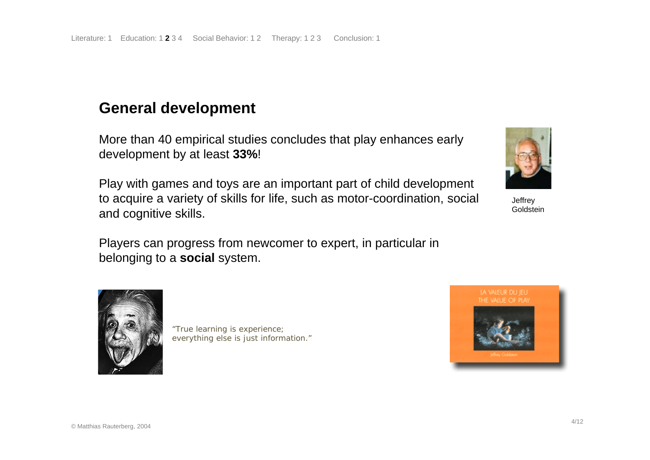### **General development**

More than 40 empirical studies concludes that play enhances early development by at least **33%**!

Play with games and toys are an important part of child development to acquire a variety of skills for life, such as motor-coordination, social and cognitive skills.

Players can progress from newcomer to expert, in particular in belonging to a **social** system.



**Jeffrey** Goldstein



"True learning is experience; everything else is just information."

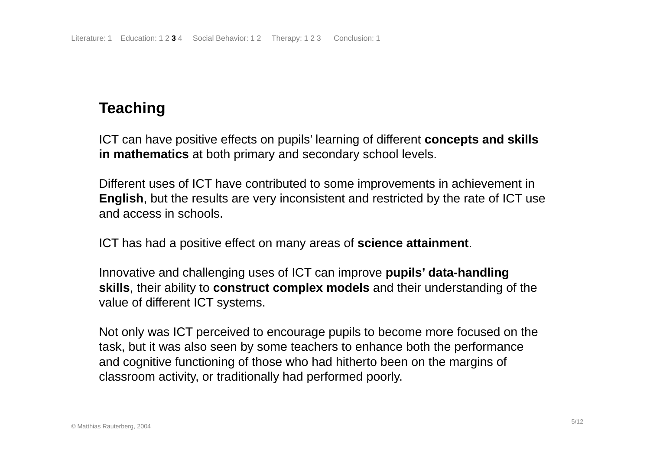## **Teaching**

ICT can have positive effects on pupils' learning of different **concepts and skills in mathematics** at both primary and secondary school levels.

Different uses of ICT have contributed to some improvements in achievement in **English**, but the results are very inconsistent and restricted by the rate of ICT use and access in schools.

ICT has had a positive effect on many areas of **science attainment**.

Innovative and challenging uses of ICT can improve **pupils' data-handling skills**, their ability to **construct complex models** and their understanding of the value of different ICT systems.

Not only was ICT perceived to encourage pupils to become more focused on the task, but it was also seen by some teachers to enhance both the performance and cognitive functioning of those who had hitherto been on the margins of classroom activity, or traditionally had performed poorly.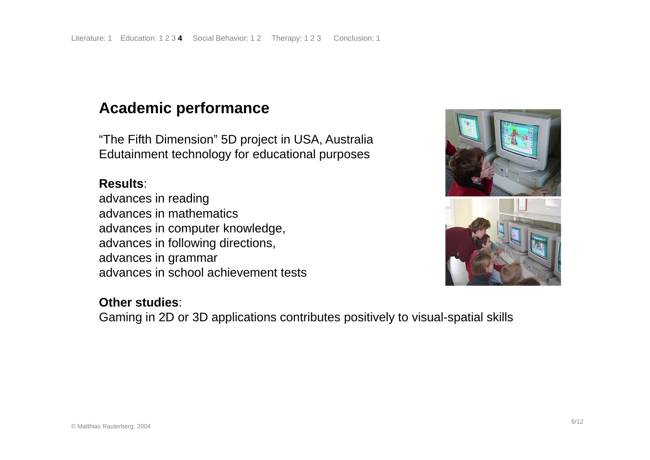### **Academic performance**

"The Fifth Dimension" 5D project in USA, Australia Edutainment technology for educational purposes

### **Results**:

advances in reading advances in mathematics advances in computer knowledge, advances in following directions, advances in grammar advances in school achievement tests

## **Other studies**:

Gaming in 2D or 3D applications contributes positively to visual-spatial skills

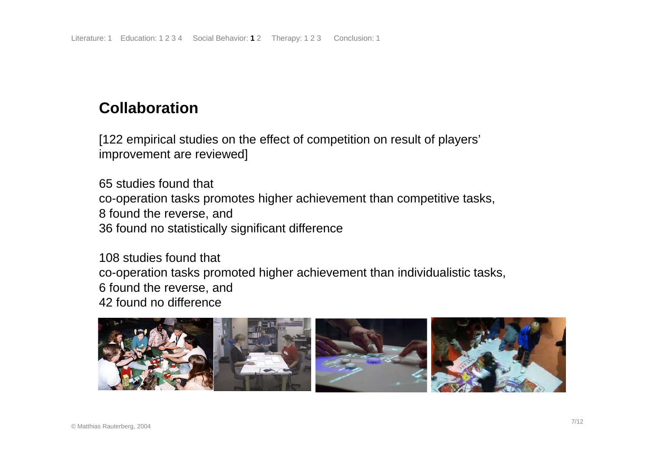### **Collaboration**

[122 empirical studies on the effect of competition on result of players' improvement are reviewed]

65 studies found that co-operation tasks promotes higher achievement than competitive tasks, 8 found the reverse, and 36 found no statistically significant difference

108 studies found that co-operation tasks promoted higher achievement than individualistic tasks, 6 found the reverse, and 42 found no difference

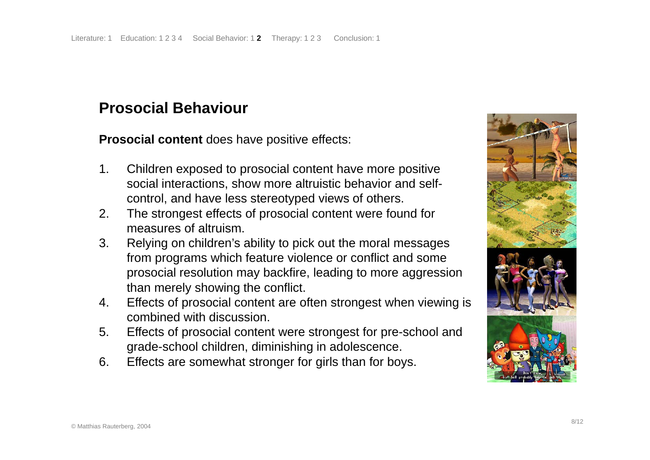### **Prosocial Behaviour**

**Prosocial content** does have positive effects:

- 1. Children exposed to prosocial content have more positive social interactions, show more altruistic behavior and selfcontrol, and have less stereotyped views of others.
- 2. The strongest effects of prosocial content were found for measures of altruism.
- 3. Relying on children's ability to pick out the moral messages from programs which feature violence or conflict and some prosocial resolution may backfire, leading to more aggression than merely showing the conflict.
- 4. Effects of prosocial content are often strongest when viewing is combined with discussion.
- 5. Effects of prosocial content were strongest for pre-school and grade-school children, diminishing in adolescence.
- 6. Effects are somewhat stronger for girls than for boys.

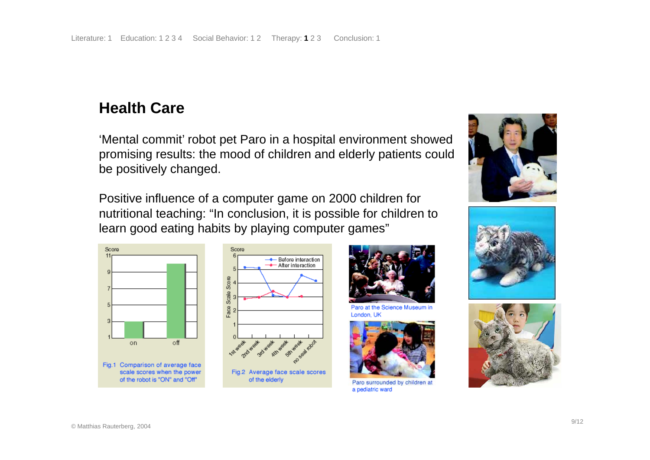### **Health Care**

'Mental commit' robot pet Paro in a hospital environment showed promising results: the mood of children and elderly patients could be positively changed.

Positive influence of a computer game on 2000 children for nutritional teaching: "In conclusion, it is possible for children to learn good eating habits by playing computer games"







#### Paro at the Science Museum in London, UK



Paro surrounded by children at a pediatric ward





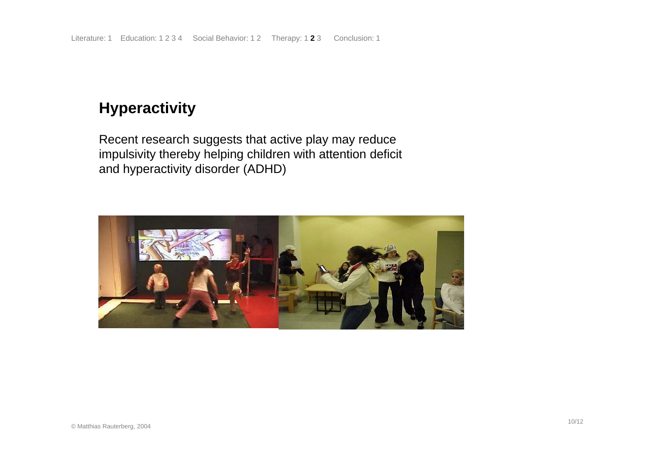### **Hyperactivity**

Recent research suggests that active play may reduce impulsivity thereby helping children with attention deficit and hyperactivity disorder (ADHD)

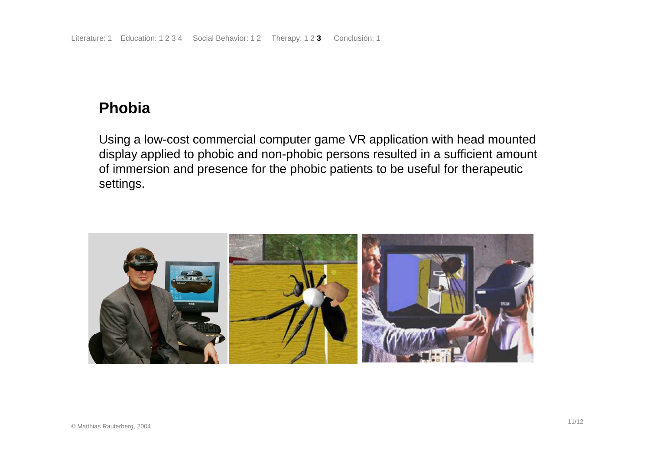### **Phobia**

Using a low-cost commercial computer game VR application with head mounted display applied to phobic and non-phobic persons resulted in a sufficient amount of immersion and presence for the phobic patients to be useful for therapeutic settings.